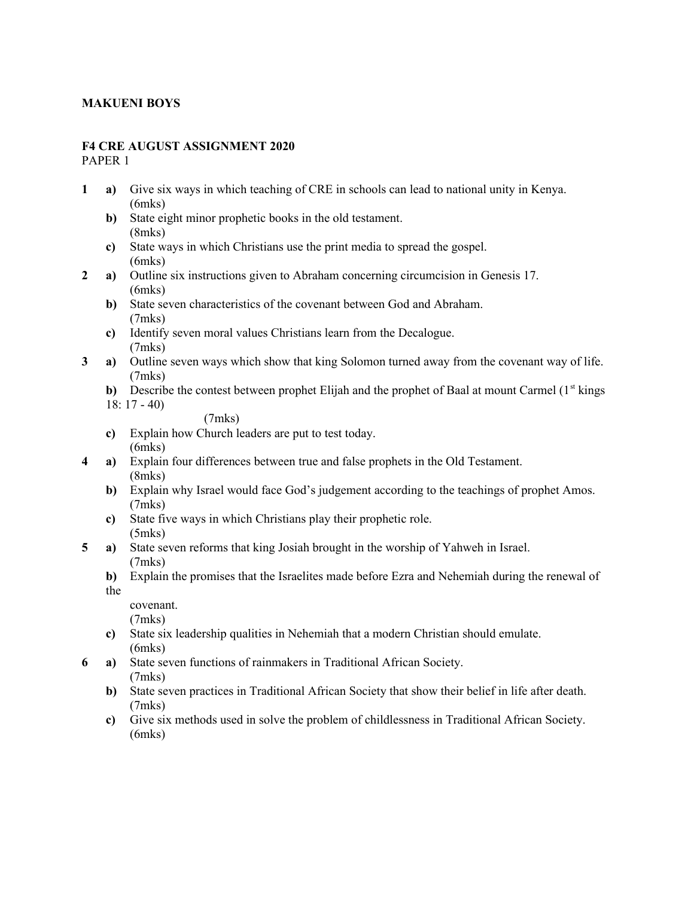## **MAKUENI BOYS**

## **F4 CRE AUGUST ASSIGNMENT 2020**

PAPER 1

- **1 a)** Give six ways in which teaching of CRE in schools can lead to national unity in Kenya. (6mks)
	- **b)** State eight minor prophetic books in the old testament. (8mks)
	- **c)** State ways in which Christians use the print media to spread the gospel. (6mks)
- **2 a)** Outline six instructions given to Abraham concerning circumcision in Genesis 17. (6mks)
	- **b)** State seven characteristics of the covenant between God and Abraham. (7mks)
	- **c)** Identify seven moral values Christians learn from the Decalogue. (7mks)
- **3 a)** Outline seven ways which show that king Solomon turned away from the covenant way of life. (7mks)
	- **b)** Describe the contest between prophet Elijah and the prophet of Baal at mount Carmel  $(1^{\text{st}} \text{ kings})$
	- 18: 17 40)

(7mks)

- **c)** Explain how Church leaders are put to test today. (6mks)
- **4 a)** Explain four differences between true and false prophets in the Old Testament. (8mks)
	- **b)** Explain why Israel would face God's judgement according to the teachings of prophet Amos. (7mks)
	- **c)** State five ways in which Christians play their prophetic role. (5mks)
- **5 a)** State seven reforms that king Josiah brought in the worship of Yahweh in Israel. (7mks)
	- **b)** Explain the promises that the Israelites made before Ezra and Nehemiah during the renewal of

the

covenant.

(7mks)

- **c)** State six leadership qualities in Nehemiah that a modern Christian should emulate. (6mks)
- **6 a)** State seven functions of rainmakers in Traditional African Society. (7mks)
	- **b)** State seven practices in Traditional African Society that show their belief in life after death. (7mks)
	- **c)** Give six methods used in solve the problem of childlessness in Traditional African Society. (6mks)